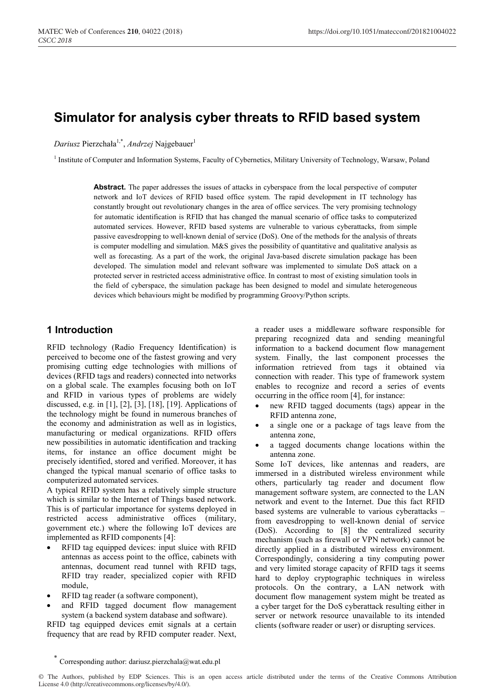# **Simulator for analysis cyber threats to RFID based system**

 $Dariusz$  Pierzchała<sup>1,\*</sup>, Andrzej Najgebauer<sup>1</sup>

<sup>1</sup> Institute of Computer and Information Systems, Faculty of Cybernetics, Military University of Technology, Warsaw, Poland

Abstract. The paper addresses the issues of attacks in cyberspace from the local perspective of computer network and IoT devices of RFID based office system. The rapid development in IT technology has constantly brought out revolutionary changes in the area of office services. The very promising technology for automatic identification is RFID that has changed the manual scenario of office tasks to computerized automated services. However, RFID based systems are vulnerable to various cyberattacks, from simple passive eavesdropping to well-known denial of service (DoS). One of the methods for the analysis of threats is computer modelling and simulation. M&S gives the possibility of quantitative and qualitative analysis as well as forecasting. As a part of the work, the original Java-based discrete simulation package has been developed. The simulation model and relevant software was implemented to simulate DoS attack on a protected server in restricted access administrative office. In contrast to most of existing simulation tools in the field of cyberspace, the simulation package has been designed to model and simulate heterogeneous devices which behaviours might be modified by programming Groovy/Python scripts.

## **1 Introduction**

RFID technology (Radio Frequency Identification) is perceived to become one of the fastest growing and very promising cutting edge technologies with millions of devices (RFID tags and readers) connected into networks on a global scale. The examples focusing both on IoT and RFID in various types of problems are widely discussed, e.g. in [1], [2], [3], [18], [19]. Applications of the technology might be found in numerous branches of the economy and administration as well as in logistics, manufacturing or medical organizations. RFID offers new possibilities in automatic identification and tracking items, for instance an office document might be precisely identified, stored and verified. Moreover, it has changed the typical manual scenario of office tasks to computerized automated services.

A typical RFID system has a relatively simple structure which is similar to the Internet of Things based network. This is of particular importance for systems deployed in restricted access administrative offices (military, government etc.) where the following IoT devices are implemented as RFID components [4]:

- RFID tag equipped devices: input sluice with RFID antennas as access point to the office, cabinets with antennas, document read tunnel with RFID tags, RFID tray reader, specialized copier with RFID module,
- RFID tag reader (a software component),
- and RFID tagged document flow management system (a backend system database and software).

RFID tag equipped devices emit signals at a certain frequency that are read by RFID computer reader. Next,

a reader uses a middleware software responsible for preparing recognized data and sending meaningful information to a backend document flow management system. Finally, the last component processes the information retrieved from tags it obtained via connection with reader. This type of framework system enables to recognize and record a series of events occurring in the office room [4], for instance:

- new RFID tagged documents (tags) appear in the RFID antenna zone,
- a single one or a package of tags leave from the antenna zone,
- a tagged documents change locations within the antenna zone.

Some IoT devices, like antennas and readers, are immersed in a distributed wireless environment while others, particularly tag reader and document flow management software system, are connected to the LAN network and event to the Internet. Due this fact RFID based systems are vulnerable to various cyberattacks – from eavesdropping to well-known denial of service (DoS). According to [8] the centralized security mechanism (such as firewall or VPN network) cannot be directly applied in a distributed wireless environment. Correspondingly, considering a tiny computing power and very limited storage capacity of RFID tags it seems hard to deploy cryptographic techniques in wireless protocols. On the contrary, a LAN network with document flow management system might be treated as a cyber target for the DoS cyberattack resulting either in server or network resource unavailable to its intended clients (software reader or user) or disrupting services.

Corresponding author: dariusz.pierzchala@wat.edu.pl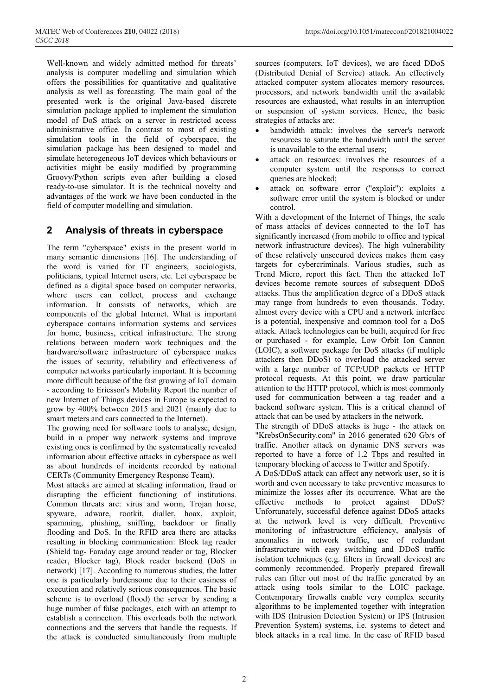Well-known and widely admitted method for threats' analysis is computer modelling and simulation which offers the possibilities for quantitative and qualitative analysis as well as forecasting. The main goal of the presented work is the original Java-based discrete simulation package applied to implement the simulation model of DoS attack on a server in restricted access administrative office. In contrast to most of existing simulation tools in the field of cyberspace, the simulation package has been designed to model and simulate heterogeneous IoT devices which behaviours or activities might be easily modified by programming Groovy/Python scripts even after building a closed ready-to-use simulator. It is the technical novelty and advantages of the work we have been conducted in the field of computer modelling and simulation.

# **2 Analysis of threats in cyberspace**

The term "cyberspace" exists in the present world in many semantic dimensions [16]. The understanding of the word is varied for IT engineers, sociologists, politicians, typical Internet users, etc. Let cyberspace be defined as a digital space based on computer networks, where users can collect, process and exchange information. It consists of networks, which are components of the global Internet. What is important cyberspace contains information systems and services for home, business, critical infrastructure. The strong relations between modern work techniques and the hardware/software infrastructure of cyberspace makes the issues of security, reliability and effectiveness of computer networks particularly important. It is becoming more difficult because of the fast growing of IoT domain - according to Ericsson's Mobility Report the number of new Internet of Things devices in Europe is expected to grow by 400% between 2015 and 2021 (mainly due to smart meters and cars connected to the Internet).

The growing need for software tools to analyse, design, build in a proper way network systems and improve existing ones is confirmed by the systematically revealed information about effective attacks in cyberspace as well as about hundreds of incidents recorded by national CERTs (Community Emergency Response Team).

Most attacks are aimed at stealing information, fraud or disrupting the efficient functioning of institutions. Common threats are: virus and worm, Trojan horse, spyware, adware, rootkit, dialler, hoax, axploit, spamming, phishing, sniffing, backdoor or finally flooding and DoS. In the RFID area there are attacks resulting in blocking communication: Block tag reader (Shield tag- Faraday cage around reader or tag, Blocker reader, Blocker tag), Block reader backend (DoS in network) [17]. According to numerous studies, the latter one is particularly burdensome due to their easiness of execution and relatively serious consequences. The basic scheme is to overload (flood) the server by sending a huge number of false packages, each with an attempt to establish a connection. This overloads both the network connections and the servers that handle the requests. If the attack is conducted simultaneously from multiple

sources (computers, IoT devices), we are faced DDoS (Distributed Denial of Service) attack. An effectively attacked computer system allocates memory resources, processors, and network bandwidth until the available resources are exhausted, what results in an interruption or suspension of system services. Hence, the basic strategies of attacks are:

- bandwidth attack: involves the server's network resources to saturate the bandwidth until the server is unavailable to the external users;
- attack on resources: involves the resources of a computer system until the responses to correct queries are blocked;
- attack on software error ("exploit"): exploits a software error until the system is blocked or under control.

With a development of the Internet of Things, the scale of mass attacks of devices connected to the IoT has significantly increased (from mobile to office and typical network infrastructure devices). The high vulnerability of these relatively unsecured devices makes them easy targets for cybercriminals. Various studies, such as Trend Micro, report this fact. Then the attacked IoT devices become remote sources of subsequent DDoS attacks. Thus the amplification degree of a DDoS attack may range from hundreds to even thousands. Today, almost every device with a CPU and a network interface is a potential, inexpensive and common tool for a DoS attack. Attack technologies can be built, acquired for free or purchased - for example, Low Orbit Ion Cannon (LOIC), a software package for DoS attacks (if multiple attackers then DDoS) to overload the attacked server with a large number of TCP/UDP packets or HTTP protocol requests. At this point, we draw particular attention to the HTTP protocol, which is most commonly used for communication between a tag reader and a backend software system. This is a critical channel of attack that can be used by attackers in the network.

The strength of DDoS attacks is huge - the attack on "KrebsOnSecurity.com" in 2016 generated 620 Gb/s of traffic. Another attack on dynamic DNS servers was reported to have a force of 1.2 Tbps and resulted in temporary blocking of access to Twitter and Spotify.

A DoS/DDoS attack can affect any network user, so it is worth and even necessary to take preventive measures to minimize the losses after its occurrence. What are the effective methods to protect against DDoS? Unfortunately, successful defence against DDoS attacks at the network level is very difficult. Preventive monitoring of infrastructure efficiency, analysis of anomalies in network traffic, use of redundant infrastructure with easy switching and DDoS traffic isolation techniques (e.g. filters in firewall devices) are commonly recommended. Properly prepared firewall rules can filter out most of the traffic generated by an attack using tools similar to the LOIC package. Contemporary firewalls enable very complex security algorithms to be implemented together with integration with IDS (Intrusion Detection System) or IPS (Intrusion Prevention System) systems, i.e. systems to detect and block attacks in a real time. In the case of RFID based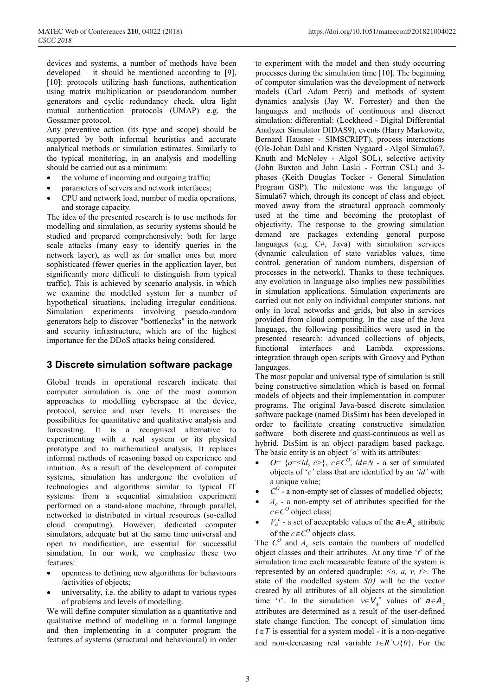devices and systems, a number of methods have been developed – it should be mentioned according to [9], [10]: protocols utilizing hash functions, authentication using matrix multiplication or pseudorandom number generators and cyclic redundancy check, ultra light mutual authentication protocols (UMAP) e.g. the Gossamer protocol.

Any preventive action (its type and scope) should be supported by both informal heuristics and accurate analytical methods or simulation estimates. Similarly to the typical monitoring, in an analysis and modelling should be carried out as a minimum:

- the volume of incoming and outgoing traffic;
- parameters of servers and network interfaces;
- CPU and network load, number of media operations, and storage capacity.

The idea of the presented research is to use methods for modelling and simulation, as security systems should be studied and prepared comprehensively: both for large scale attacks (many easy to identify queries in the network layer), as well as for smaller ones but more sophisticated (fewer queries in the application layer, but significantly more difficult to distinguish from typical traffic). This is achieved by scenario analysis, in which we examine the modelled system for a number of hypothetical situations, including irregular conditions. Simulation experiments involving pseudo-random generators help to discover "bottlenecks" in the network and security infrastructure, which are of the highest importance for the DDoS attacks being considered.

## **3 Discrete simulation software package**

Global trends in operational research indicate that computer simulation is one of the most common approaches to modelling cyberspace at the device, protocol, service and user levels. It increases the possibilities for quantitative and qualitative analysis and forecasting. It is a recognised alternative to experimenting with a real system or its physical prototype and to mathematical analysis. It replaces informal methods of reasoning based on experience and intuition. As a result of the development of computer systems, simulation has undergone the evolution of technologies and algorithms similar to typical IT systems: from a sequential simulation experiment performed on a stand-alone machine, through parallel, networked to distributed in virtual resources (so-called cloud computing). However, dedicated computer simulators, adequate but at the same time universal and open to modification, are essential for successful simulation. In our work, we emphasize these two features:

- openness to defining new algorithms for behaviours /activities of objects;
- universality, i.e. the ability to adapt to various types of problems and levels of modelling.

We will define computer simulation as a quantitative and qualitative method of modelling in a formal language and then implementing in a computer program the features of systems (structural and behavioural) in order to experiment with the model and then study occurring processes during the simulation time [10]. The beginning of computer simulation was the development of network models (Carl Adam Petri) and methods of system dynamics analysis (Jay W. Forrester) and then the languages and methods of continuous and discreet simulation: differential: (Lockheed - Digital Differential Analyzer Simulator DIDAS9), events (Harry Markowitz, Bernard Hausner - SIMSCRIPT), process interactions (Ole-Johan Dahl and Kristen Nygaard - Algol Simula67, Knuth and McNeley - Algol SOL), selective activity (John Buxton and John Laski - Fortran CSL) and 3 phases (Keith Douglas Tocker - General Simulation Program GSP). The milestone was the language of Simula67 which, through its concept of class and object, moved away from the structural approach commonly used at the time and becoming the protoplast of objectivity. The response to the growing simulation demand are packages extending general purpose languages (e.g. C#, Java) with simulation services (dynamic calculation of state variables values, time control, generation of random numbers, dispersion of processes in the network). Thanks to these techniques, any evolution in language also implies new possibilities in simulation applications. Simulation experiments are carried out not only on individual computer stations, not only in local networks and grids, but also in services provided from cloud computing. In the case of the Java language, the following possibilities were used in the presented research: advanced collections of objects, functional interfaces and Lambda expressions, integration through open scripts with Groovy and Python languages.

The most popular and universal type of simulation is still being constructive simulation which is based on formal models of objects and their implementation in computer programs. The original Java-based discrete simulation software package (named DisSim) has been developed in order to facilitate creating constructive simulation software – both discrete and quasi-continuous as well as hybrid. DisSim is an object paradigm based package. The basic entity is an object '*o*' with its attributes:

- *O*= { $o=$  <*id*,  $c$ >},  $c ∈ C^O$ ,  $id ∈ N a$  set of simulated objects of '*c'* class that are identified by an '*id'* with a unique value;
- $C^O$  a non-empty set of classes of modelled objects;
- $A_c$  a non-empty set of attributes specified for the  $c \in C^O$  object class;
- $V_a^c$  a set of acceptable values of the  $a \in A_c$  attribute of the  $c \in C^O$  objects class.

The  $C^O$  and  $A_c$  sets contain the numbers of modelled object classes and their attributes. At any time '*t*' of the simulation time each measurable feature of the system is represented by an ordered quadruple: *<o, a, v, t>*. The state of the modelled system *S(t)* will be the vector created by all attributes of all objects at the simulation time '*t*'. In the simulation  $v \in V_a^c$  values of  $a \in A_c$ attributes are determined as a result of the user-defined state change function. The concept of simulation time *t*∈*T* is essential for a system model - it is a non-negative and non-decreasing real variable  $t \in R^+ \cup \{0\}$ . For the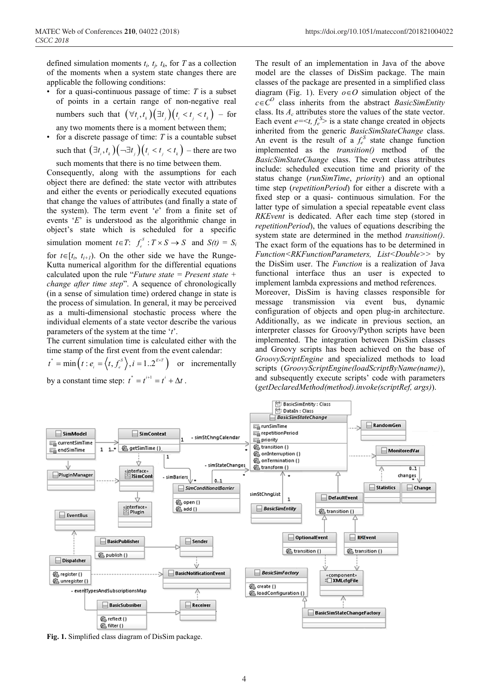defined simulation moments  $t_i$ ,  $t_j$ ,  $t_k$ , for *T* as a collection of the moments when a system state changes there are applicable the following conditions:

- for a quasi-continuous passage of time: *T* is a subset of points in a certain range of non-negative real numbers such that  $(\forall t_i, t_k) (\exists t_i)(t_i < t_i < t_k)$  – for any two moments there is a moment between them;
- for a discrete passage of time:  $T$  is a countable subset such that  $(\exists t_i, t_i)$   $(\neg \exists t_i)$   $(t_i < t_i < t_k)$  – there are two

such moments that there is no time between them. Consequently, along with the assumptions for each object there are defined: the state vector with attributes and either the events or periodically executed equations that change the values of attributes (and finally a state of the system). The term event '*e*' from a finite set of events '*E*' is understood as the algorithmic change in object's state which is scheduled for a specific simulation moment  $t \in T$ :  $f_e^S : T \times S \to S$  and  $S(t) = S$ for  $t \in [t_i, t_{i+1})$ . On the other side we have the Runge-Kutta numerical algorithm for the differential equations calculated upon the rule "*Future state = Present state + change after time step*". A sequence of chronologically (in a sense of simulation time) ordered change in state is the process of simulation. In general, it may be perceived as a multi-dimensional stochastic process where the individual elements of a state vector describe the various parameters of the system at the time '*t*'.

The current simulation time is calculated either with the time stamp of the first event from the event calendar:

 $t^* = \min\left(t : e_i = \left\langle t, f_e^s \right\rangle, i = 1..2^{E \times T} \right)$  or incrementally by a constant time step:  $t^* = t^{i+1} = t^i + \Delta t$ .

The result of an implementation in Java of the above model are the classes of DisSim package. The main classes of the package are presented in a simplified class diagram (Fig. 1). Every  $o \in O$  simulation object of the *c*∈*CO* class inherits from the abstract *BasicSimEntity* class. Its  $A_c$  attributes store the values of the state vector. Each event  $e = \lt t$ ,  $f_e^S$  is a state change created in objects inherited from the generic *BasicSimStateChange* class. An event is the result of a  $f_e^S$  state change function implemented as the *transition()* method of the *BasicSimStateChange* class. The event class attributes include: scheduled execution time and priority of the status change (*runSimTime*, *priority*) and an optional time step (*repetitionPeriod*) for either a discrete with a fixed step or a quasi- continuous simulation. For the latter type of simulation a special repeatable event class *RKEvent* is dedicated. After each time step (stored in *repetitionPeriod*), the values of equations describing the system state are determined in the method *transition()*. The exact form of the equations has to be determined in *Function<RKFunctionParameters, List<Double>>* by the DisSim user. The *Function* is a realization of Java functional interface thus an user is expected to implement lambda expressions and method references. Moreover, DisSim is having classes responsible for message transmission via event bus, dynamic configuration of objects and open plug-in architecture. Additionally, as we indicate in previous section, an interpreter classes for Groovy/Python scripts have been implemented. The integration between DisSim classes and Groovy scripts has been achieved on the base of *GroovyScriptEngine* and specialized methods to load scripts (*GroovyScriptEngine(loadScriptByName(name)*), and subsequently execute scripts' code with parameters (*getDeclaredMethod(method).invoke(scriptRef, args)*).



**Fig. 1.** Simplified class diagram of DisSim package.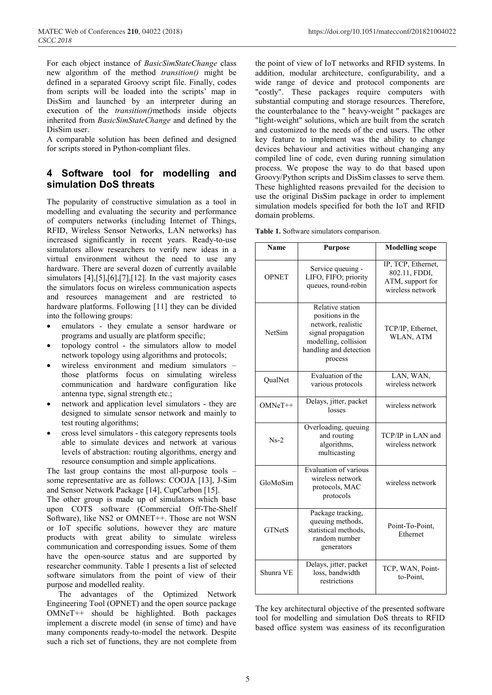For each object instance of *BasicSimStateChange* class new algorithm of the method *transition()* might be defined in a separated Groovy script file. Finally, codes from scripts will be loaded into the scripts' map in DisSim and launched by an interpreter during an execution of the *transition()*methods inside objects inherited from *BasicSimStateChange* and defined by the DisSim user.

A comparable solution has been defined and designed for scripts stored in Python-compliant files.

# **4 Software tool for modelling and simulation DoS threats**

The popularity of constructive simulation as a tool in modelling and evaluating the security and performance of computers networks (including Internet of Things, RFID, Wireless Sensor Networks, LAN networks) has increased significantly in recent years. Ready-to-use simulators allow researchers to verify new ideas in a virtual environment without the need to use any hardware. There are several dozen of currently available simulators [4], [5], [6], [7], [12]. In the vast majority cases the simulators focus on wireless communication aspects and resources management and are restricted to hardware platforms. Following [11] they can be divided into the following groups:

- emulators they emulate a sensor hardware or programs and usually are platform specific;
- topology control the simulators allow to model network topology using algorithms and protocols;
- wireless environment and medium simulators those platforms focus on simulating wireless communication and hardware configuration like antenna type, signal strength etc.;
- network and application level simulators they are designed to simulate sensor network and mainly to test routing algorithms;
- cross level simulators this category represents tools able to simulate devices and network at various levels of abstraction: routing algorithms, energy and resource consumption and simple applications.

The last group contains the most all-purpose tools – some representative are as follows: COOJA [13], J-Sim and Sensor Network Package [14], CupCarbon [15].

The other group is made up of simulators which base upon COTS software (Commercial Off-The-Shelf Software), like NS2 or OMNET++. Those are not WSN or IoT specific solutions, however they are mature products with great ability to simulate wireless communication and corresponding issues. Some of them have the open-source status and are supported by researcher community. Table 1 presents a list of selected software simulators from the point of view of their purpose and modelled reality.

The advantages of the Optimized Network Engineering Tool (OPNET) and the open source package OMNeT++ should be highlighted. Both packages implement a discrete model (in sense of time) and have many components ready-to-model the network. Despite such a rich set of functions, they are not complete from

the point of view of IoT networks and RFID systems. In addition, modular architecture, configurability, and a wide range of device and protocol components are "costly". These packages require computers with substantial computing and storage resources. Therefore, the counterbalance to the " heavy-weight " packages are "light-weight" solutions, which are built from the scratch and customized to the needs of the end users. The other key feature to implement was the ability to change devices behaviour and activities without changing any compiled line of code, even during running simulation process. We propose the way to do that based upon Groovy/Python scripts and DisSim classes to serve them. These highlighted reasons prevailed for the decision to use the original DisSim package in order to implement simulation models specified for both the IoT and RFID domain problems.

**Table 1.** Software simulators comparison.

| <b>Name</b>   | <b>Purpose</b>                                                                                                                                | <b>Modelling scope</b>                                                      |
|---------------|-----------------------------------------------------------------------------------------------------------------------------------------------|-----------------------------------------------------------------------------|
| <b>OPNET</b>  | Service queuing -<br>LIFO, FIFO; priority<br>queues, round-robin                                                                              | IP, TCP, Ethernet,<br>802.11, FDDI,<br>ATM, support for<br>wireless network |
| NetSim        | Relative station<br>positions in the<br>network, realistic<br>signal propagation<br>modelling, collision<br>handling and detection<br>process | TCP/IP, Ethernet,<br>WLAN, ATM                                              |
| OualNet       | Evaluation of the<br>various protocols                                                                                                        | LAN, WAN,<br>wireless network                                               |
| $OMNeT++$     | Delays, jitter, packet<br>losses                                                                                                              | wireless network                                                            |
| $Ns-2$        | Overloading, queuing<br>and routing<br>algorithms,<br>multicasting                                                                            | TCP/IP in LAN and<br>wireless network                                       |
| GloMoSim      | Evaluation of various<br>wireless network<br>protocols, MAC<br>protocols                                                                      | wireless network                                                            |
| <b>GTNetS</b> | Package tracking,<br>queuing methods,<br>statistical methods,<br>random number<br>generators                                                  | Point-To-Point,<br>Ethernet                                                 |
| Shunra VE     | Delays, jitter, packet<br>loss, bandwidth<br>restrictions                                                                                     | TCP, WAN, Point-<br>to-Point.                                               |

The key architectural objective of the presented software tool for modelling and simulation DoS threats to RFID based office system was easiness of its reconfiguration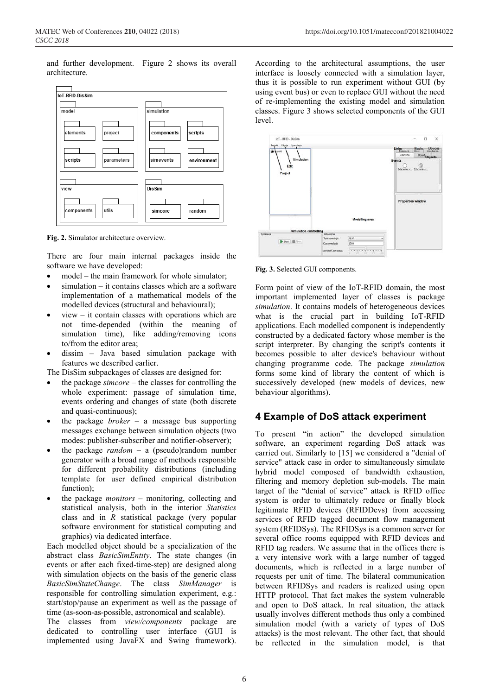and further development. Figure 2 shows its overall architecture.



**Fig. 2.** Simulator architecture overview.

There are four main internal packages inside the software we have developed:

- model the main framework for whole simulator;
- $s$ imulation it contains classes which are a software implementation of a mathematical models of the modelled devices (structural and behavioural);
- $view it$  contain classes with operations which are not time-depended (within the meaning of simulation time), like adding/removing icons to/from the editor area;
- dissim Java based simulation package with features we described earlier.

The DisSim subpackages of classes are designed for:

- the package *simcore* the classes for controlling the whole experiment: passage of simulation time, events ordering and changes of state (both discrete and quasi-continuous);
- the package *broker* a message bus supporting messages exchange between simulation objects (two modes: publisher-subscriber and notifier-observer);
- the package *random* a (pseudo)random number generator with a broad range of methods responsible for different probability distributions (including template for user defined empirical distribution function):
- the package *monitors* monitoring, collecting and statistical analysis, both in the interior *Statistics* class and in *R* statistical package (very popular software environment for statistical computing and graphics) via dedicated interface.

Each modelled object should be a specialization of the abstract class *BasicSimEntity*. The state changes (in events or after each fixed-time-step) are designed along with simulation objects on the basis of the generic class *BasicSimStateChange*. The class *SimManager* is responsible for controlling simulation experiment, e.g.: start/stop/pause an experiment as well as the passage of time (as-soon-as-possible, astronomical and scalable).

The classes from *view/components* package are dedicated to controlling user interface (GUI is implemented using JavaFX and Swing framework).

According to the architectural assumptions, the user interface is loosely connected with a simulation layer, thus it is possible to run experiment without GUI (by using event bus) or even to replace GUI without the need of re-implementing the existing model and simulation classes. Figure 3 shows selected components of the GUI level.



**Fig. 3.** Selected GUI components.

Form point of view of the IoT-RFID domain, the most important implemented layer of classes is package *simulation*. It contains models of heterogeneous devices what is the crucial part in building IoT-RFID applications. Each modelled component is independently constructed by a dedicated factory whose member is the script interpreter. By changing the script's contents it becomes possible to alter device's behaviour without changing programme code. The package *simulation* forms some kind of library the content of which is successively developed (new models of devices, new behaviour algorithms).

# **4 Example of DoS attack experiment**

To present "in action" the developed simulation software, an experiment regarding DoS attack was carried out. Similarly to [15] we considered a "denial of service" attack case in order to simultaneously simulate hybrid model composed of bandwidth exhaustion, filtering and memory depletion sub-models. The main target of the "denial of service" attack is RFID office system is order to ultimately reduce or finally block legitimate RFID devices (RFIDDevs) from accessing services of RFID tagged document flow management system (RFIDSys). The RFIDSys is a common server for several office rooms equipped with RFID devices and RFID tag readers. We assume that in the offices there is a very intensive work with a large number of tagged documents, which is reflected in a large number of requests per unit of time. The bilateral communication between RFIDSys and readers is realized using open HTTP protocol. That fact makes the system vulnerable and open to DoS attack. In real situation, the attack usually involves different methods thus only a combined simulation model (with a variety of types of DoS attacks) is the most relevant. The other fact, that should be reflected in the simulation model, is that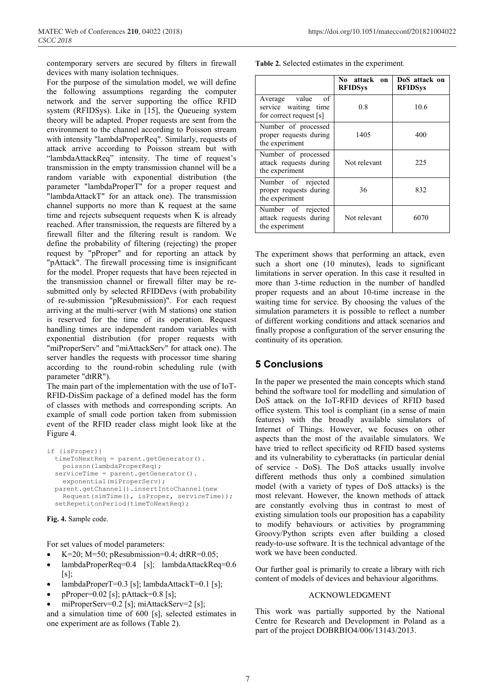contemporary servers are secured by filters in firewall devices with many isolation techniques.

For the purpose of the simulation model, we will define the following assumptions regarding the computer network and the server supporting the office RFID system (RFIDSys). Like in [15], the Queueing system theory will be adapted. Proper requests are sent from the environment to the channel according to Poisson stream with intensity "lambdaProperReq". Similarly, requests of attack arrive according to Poisson stream but with "lambdaAttackReq" intensity. The time of request's transmission in the empty transmission channel will be a random variable with exponential distribution (the parameter "lambdaProperT" for a proper request and "lambdaAttackT" for an attack one). The transmission channel supports no more than K request at the same time and rejects subsequent requests when K is already reached. After transmission, the requests are filtered by a firewall filter and the filtering result is random. We define the probability of filtering (rejecting) the proper request by "pProper" and for reporting an attack by "pAttack". The firewall processing time is insignificant for the model. Proper requests that have been rejected in the transmission channel or firewall filter may be resubmitted only by selected RFIDDevs (with probability of re-submission "pResubmission)". For each request arriving at the multi-server (with M stations) one station is reserved for the time of its operation. Request handling times are independent random variables with exponential distribution (for proper requests with "miProperServ" and "miAttackServ" for attack one). The server handles the requests with processor time sharing according to the round-robin scheduling rule (with parameter "dtRR").

The main part of the implementation with the use of IoT-RFID-DisSim package of a defined model has the form of classes with methods and corresponding scripts. An example of small code portion taken from submission event of the RFID reader class might look like at the Figure 4.

```
if (isProper){
timeToNextReq = parent.getGenerator().
 poisson(lambdaProperReq);
serviceTime = parent.getGenerator().
 exponential(miProperServ);
parent.getChannel().insertIntoChannel(new
  Request(simTime(), isProper, serviceTime));
setRepetitonPeriod(timeToNextReq);
```
#### **Fig. 4.** Sample code.

For set values of model parameters:

- $K=20$ ;  $M=50$ ; pResubmission=0.4; dtRR=0.05;
- lambdaProperReq=0.4 [s]; lambdaAttackReq=0.6  $[s]$ :
- $lambda$ ProperT=0.3 [s];  $lambdaAttackT=0.1$  [s];
- $p$ Proper=0.02 [s]; pAttack=0.8 [s];
- miProperServ=0.2 [s]; miAttackServ=2 [s];

and a simulation time of 600 [s], selected estimates in one experiment are as follows (Table 2).

**Table 2.** Selected estimates in the experiment.

|                                                                        | No attack on<br><b>RFIDSys</b> | DoS attack on<br><b>RFIDS<sub>vs</sub></b> |
|------------------------------------------------------------------------|--------------------------------|--------------------------------------------|
| Average value<br>of<br>service waiting time<br>for correct request [s] | 0.8                            | 10.6                                       |
| Number of processed<br>proper requests during<br>the experiment        | 1405                           | 400                                        |
| Number of processed<br>attack requests during<br>the experiment        | Not relevant                   | 225                                        |
| Number of rejected<br>proper requests during<br>the experiment         | 36                             | 832                                        |
| Number of rejected<br>attack requests during<br>the experiment         | Not relevant                   | 6070                                       |

The experiment shows that performing an attack, even such a short one (10 minutes), leads to significant limitations in server operation. In this case it resulted in more than 3-time reduction in the number of handled proper requests and an about 10-time increase in the waiting time for service. By choosing the values of the simulation parameters it is possible to reflect a number of different working conditions and attack scenarios and finally propose a configuration of the server ensuring the continuity of its operation.

### **5 Conclusions**

In the paper we presented the main concepts which stand behind the software tool for modelling and simulation of DoS attack on the IoT-RFID devices of RFID based office system. This tool is compliant (in a sense of main features) with the broadly available simulators of Internet of Things. However, we focuses on other aspects than the most of the available simulators. We have tried to reflect specificity od RFID based systems and its vulnerability to cyberattacks (in particular denial of service - DoS). The DoS attacks usually involve different methods thus only a combined simulation model (with a variety of types of DoS attacks) is the most relevant. However, the known methods of attack are constantly evolving thus in contrast to most of existing simulation tools our proposition has a capability to modify behaviours or activities by programming Groovy/Python scripts even after building a closed ready-to-use software. It is the technical advantage of the work we have been conducted.

Our further goal is primarily to create a library with rich content of models of devices and behaviour algorithms.

#### ACKNOWLEDGMENT

This work was partially supported by the National Centre for Research and Development in Poland as a part of the project DOBRBIO4/006/13143/2013.